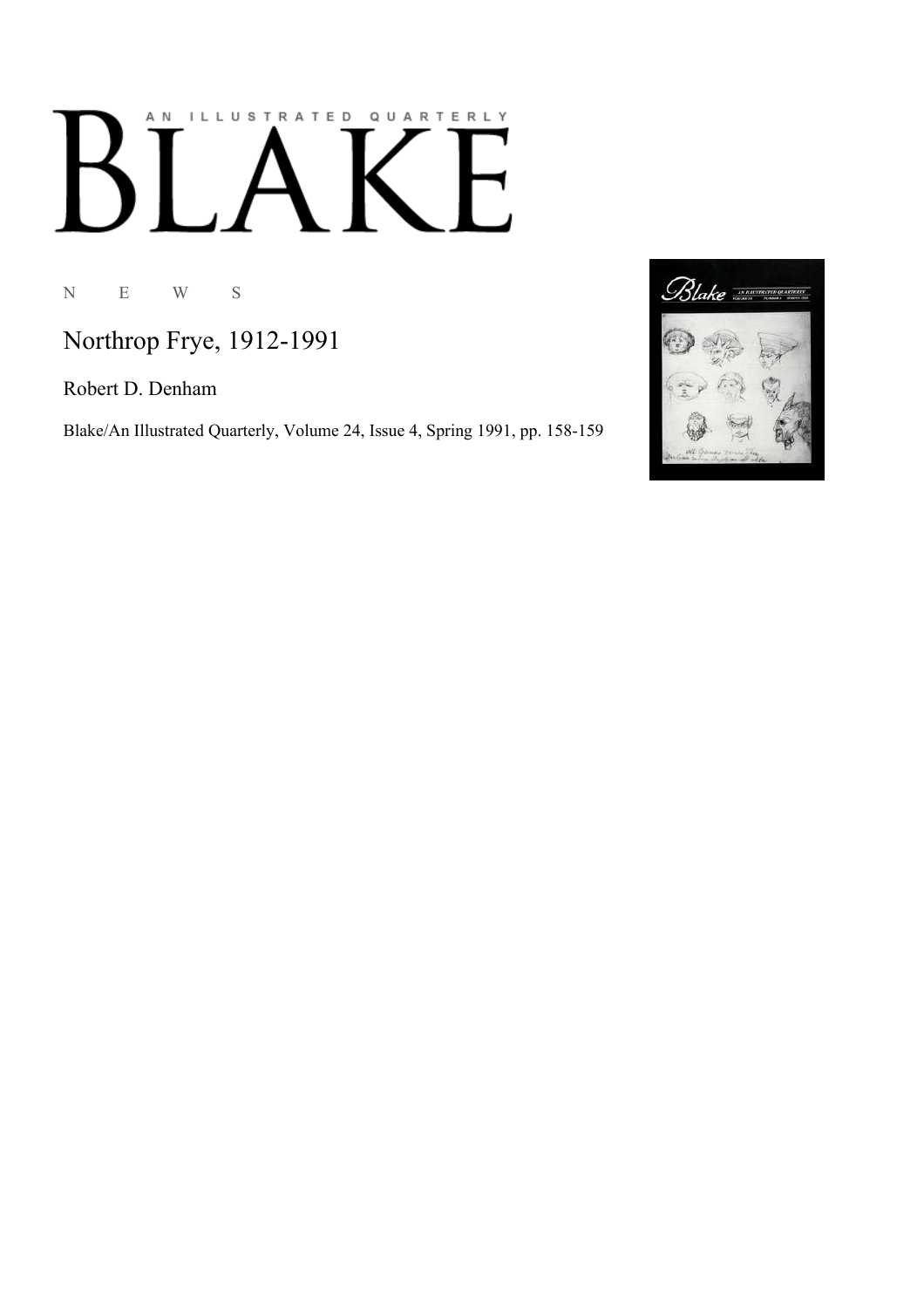# AN ILLUSTRATED QUARTERLY K

N E W S

Northrop Frye, 1912-1991

Robert D. Denham

Blake/An Illustrated Quarterly, Volume 24, Issue 4, Spring 1991, pp. 158-159

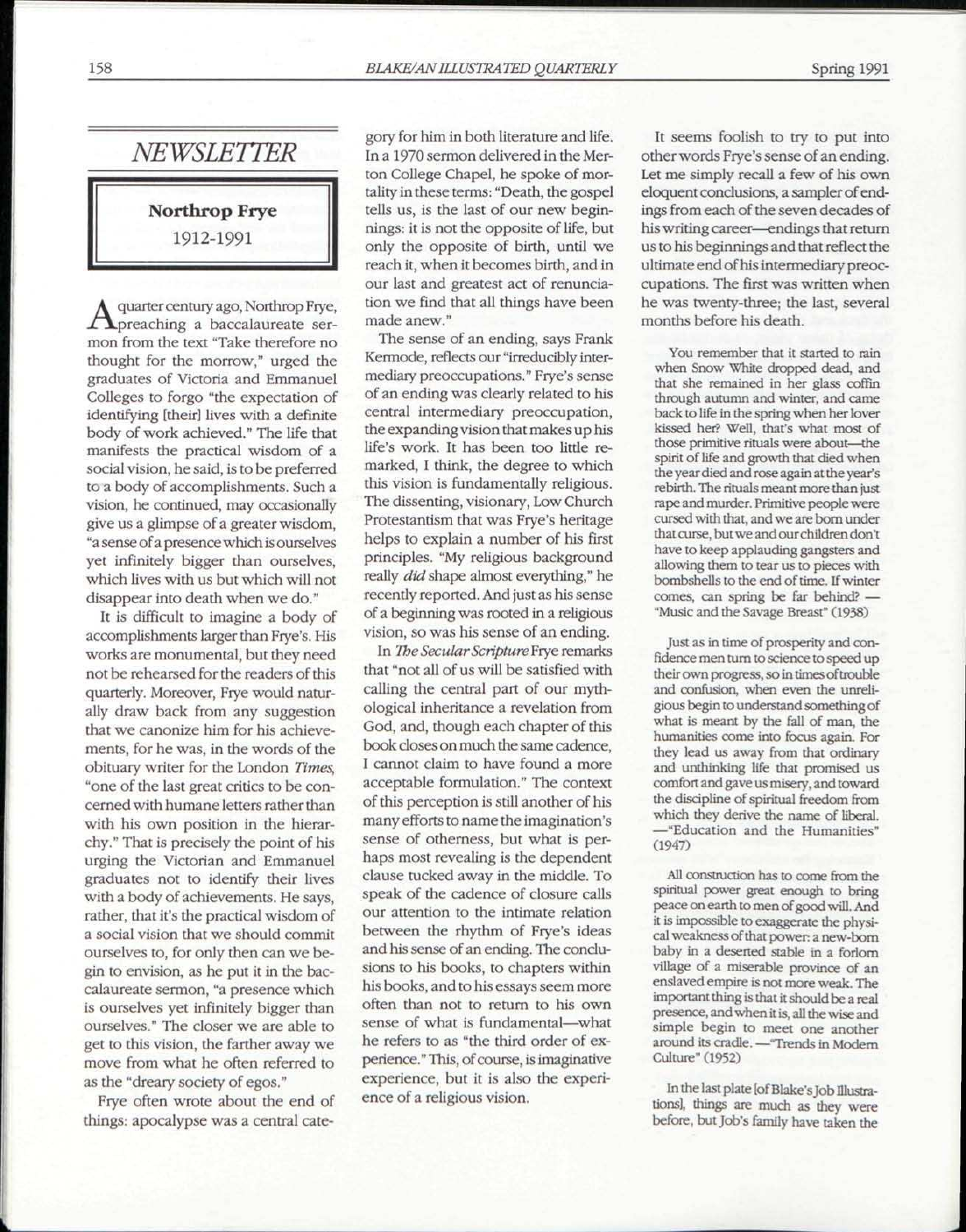## *NEWSLETTER*

Northrop Frye 1912-1991

A preaching a baccalaureate serquarter century ago, Northrop Frye, mon from the text "Take therefore no thought for the morrow," urged the graduates of Victoria and Emmanuel Colleges to forgo "the expectation of identifying [their] lives with a definite body of work achieved." The life that manifests the practical wisdom of a social vision, he said, is to be preferred to a body of accomplishments. Such a vision, he continued, may occasionally give us a glimpse of a greater wisdom, "a sense of a presence which is ourselves yet infinitely bigger than ourselves, which lives with us but which will not disappear into death when we do."

It is difficult to imagine a body of accomplishments larger than Frye's. His works are monumental, but they need not be rehearsed for the readers of this quarterly. Moreover, Frye would naturally draw back from any suggestion that we canonize him for his achievements, for he was, in the words of the obituary writer for the London *Times,*  "one of the last great critics to be concerned with humane letters rather than with his own position in the hierarchy." That is precisely the point of his urging the Victorian and Emmanuel graduates not to identify their lives with a body of achievements. He says, rather, that it's the practical wisdom of a social vision that we should commit ourselves to, for only then can we begin to envision, as he put it in the baccalaureate sermon, "a presence which is ourselves yet infinitely bigger than ourselves." The closer we are able to get to this vision, the farther away we move from what he often referred to as the "dreary society of egos."

Frye often wrote about the end of things: apocalypse was a central category for him in both literature and life. In a 1970 sermon delivered in the Merton College Chapel, he spoke of mortality in these terms: "Death, the gospel tells us, is the last of our new beginnings: it is not the opposite of life, but only the opposite of birth, until we reach it, when it becomes birth, and in our last and greatest act of renunciation we find that all things have been made anew."

The sense of an ending, says Frank Kermode, reflects our "irreducibly intermediary preoccupations." Frye's sense of an ending was clearly related to his central intermediary preoccupation, the expanding vision that makes up his life's work. It has been too little remarked, I think, the degree to which this vision is fundamentally religious. The dissenting, visionary, Low Church Protestantism that was Frye's heritage helps to explain a number of his first principles. "My religious background really *did* shape almost everything," he recently reported. And just as his sense of a beginning was rooted in a religious vision, so was his sense of an ending.

In *The SecularScriptureFrye* remarks that "not all of us will be satisfied with calling the central part of our mythological inheritance a revelation from God, and, though each chapter of this book closes on much the same cadence, I cannot claim to have found a more acceptable formulation." The context of this perception is still another of his many efforts to name the imagination's sense of otherness, but what is perhaps most revealing is the dependent clause tucked away in the middle. To speak of the cadence of closure calls our attention to the intimate relation between the rhythm of Frye's ideas and his sense of an ending. The conclusions to his books, to chapters within his books, and to his essays seem more often than not to return to his own sense of what is fundamental—what he refers to as "the third order of experience." This, of course, is imaginative experience, but it is also the experience of a religious vision.

It seems foolish to try to put into other words Frye's sense of an ending. Let me simply recall a few of his own eloquent conclusions, a sampler of endings from each of the seven decades of his writing career—endings that return us to his beginnings and that reflect the ultimate end of his intermediary preoccupations. The first was written when he was twenty-three; the last, several months before his death.

You remember that it started to rain when Snow White dropped dead, and that she remained in her glass coffin through autumn and winter, and came back to life in the spring when her lover kissed her? Well, that's what most of those primitive rituals were about—the spirit of life and growth that died when the year died and rose again at the year's rebirth. The rituals meant more than just rape and murder. Primitive people were cursed with that, and we are bom under that curse, but we and our children don't have to keep applauding gangsters and allowing them to tear us to pieces with bombshells to the end of time. If winter comes, can spring be far behind' — "Music and the Savage Breast" (1938)

Just as in time of prosperity and confidence men rum to science to speed up their own progress, so in times of trouble and confusion, when even the unreligious begin to understand something of what is meant by the fall of man, the humanities come into focus again. For they lead us away from that ordinary and unthinking life that promised us comfort and gave us misery, and toward the discipline of spiritual freedom from which they derive the name of liberal. —"Education and the Humanities" (1947)

All construction has to come from the spiritual power great enough to bring peace on earth to men of good will. And it is impossible to exaggerate the physical weakness of that power a new-bom baby in a deserted stable in a forlorn village of a miserable province of an enslaved empire is not more weak. The important thing is that it should be a real presence, and when it is, all the wise and simple begin to meet one another around its cradle. —"Trends in Modem Culture" (1952)

In the last plate [of Blake's Job Illustrations], things are much as they were before, but Job's family have taken the